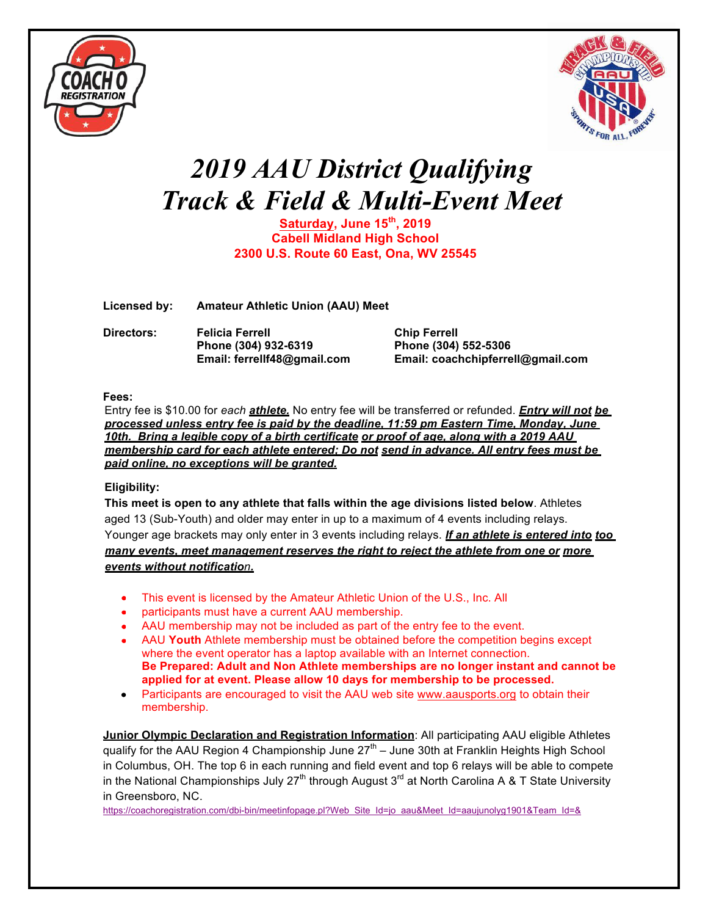



# *2019 AAU District Qualifying Track & Field & Multi-Event Meet*

**Saturday, June 15th, 2019 Cabell Midland High School 2300 U.S. Route 60 East, Ona, WV 25545**

**Licensed by: Amateur Athletic Union (AAU) Meet**

**Directors: Felicia Ferrell Chip Ferrell Phone (304) 932-6319 Phone (304) 552-5306**

**Email: ferrellf48@gmail.com Email: coachchipferrell@gmail.com**

#### **Fees:**

Entry fee is \$10.00 for *each athlete.* No entry fee will be transferred or refunded. *Entry will not be processed unless entry fee is paid by the deadline, 11:59 pm Eastern Time, Monday, June 10th. Bring a legible copy of a birth certificate or proof of age, along with a 2019 AAU membership card for each athlete entered; Do not send in advance. All entry fees must be paid online, no exceptions will be granted.*

### **Eligibility:**

**This meet is open to any athlete that falls within the age divisions listed below**. Athletes aged 13 (Sub-Youth) and older may enter in up to a maximum of 4 events including relays. Younger age brackets may only enter in 3 events including relays. *If an athlete is entered into too many events, meet management reserves the right to reject the athlete from one or more events without notification.*

- This event is licensed by the Amateur Athletic Union of the U.S., Inc. All
- participants must have a current AAU membership.
- AAU membership may not be included as part of the entry fee to the event.
- AAU **Youth** Athlete membership must be obtained before the competition begins except where the event operator has a laptop available with an Internet connection. **Be Prepared: Adult and Non Athlete memberships are no longer instant and cannot be applied for at event. Please allow 10 days for membership to be processed.**
- Participants are encouraged to visit the AAU web site www.aausports.org to obtain their membership.

**Junior Olympic Declaration and Registration Information**: All participating AAU eligible Athletes qualify for the AAU Region 4 Championship June  $27<sup>th</sup>$  – June 30th at Franklin Heights High School in Columbus, OH. The top 6 in each running and field event and top 6 relays will be able to compete in the National Championships July  $27<sup>th</sup>$  through August  $3<sup>rd</sup>$  at North Carolina A & T State University in Greensboro, NC.

https://coachoregistration.com/dbi-bin/meetinfopage.pl?Web\_Site\_Id=jo\_aau&Meet\_Id=aaujunolyg1901&Team\_Id=&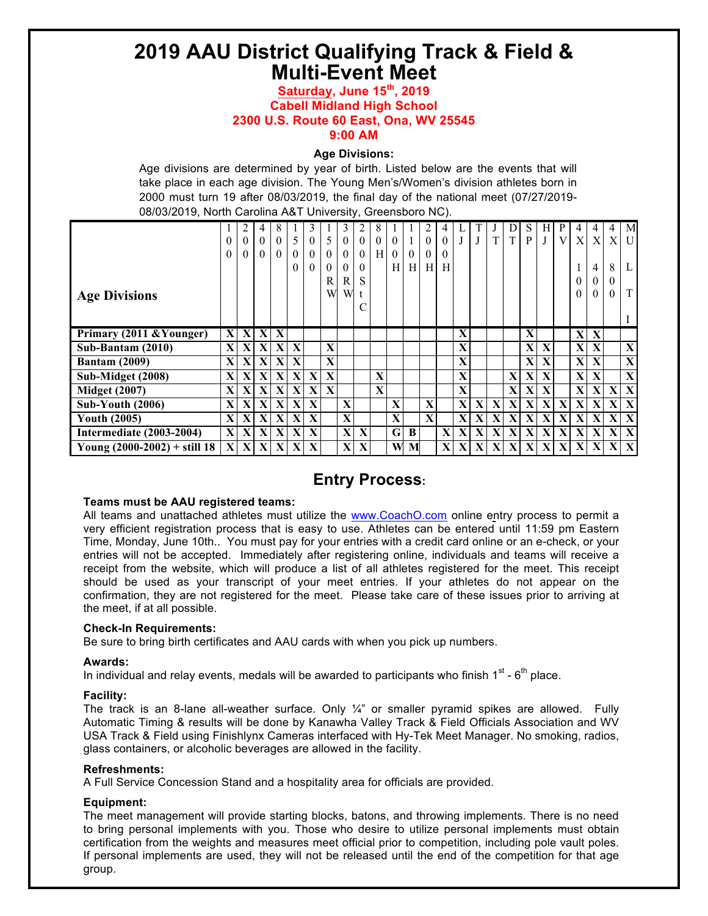## **2019 AAU District Qualifying Track & Field & Multi-Event Meet**

#### **Saturday, June 15th, 2019 Cabell Midland High School 2300 U.S. Route 60 East, Ona, WV 25545 9:00 AM**

#### **Age Divisions:**

Age divisions are determined by year of birth. Listed below are the events that will take place in each age division. The Young Men's/Women's division athletes born in 2000 must turn 19 after 08/03/2019, the final day of the national meet (07/27/2019- 08/03/2019, North Carolina A&T University, Greensboro NC).

|                                 | $\theta$<br>0 | 2<br>$\overline{0}$<br>$\theta$ | $\theta$<br>$\theta$ | 8<br>$\theta$<br>$\theta$ |              | $\theta$<br>$\theta$<br>$\theta$ | 5<br>$\Omega$<br>$\theta$<br>R | 3<br>$\theta$<br>$\theta$<br>$\theta$<br>R | $\theta$<br>$\theta$<br>$\theta$<br>S | $\theta$<br>H. | $\theta$<br>Н | $\theta$<br>H <sub>l</sub> | 2<br>$\theta$<br>$\theta$<br>H | $\theta$<br>$\Omega$<br>H | J            |              | T           | T            | S<br>P       | Н<br>J | P<br>V       | 4<br>X<br>0  | 4<br>X<br>4<br>$\mathbf{0}$ | 4<br>X<br>8<br>$\theta$ | M<br>U<br>L  |
|---------------------------------|---------------|---------------------------------|----------------------|---------------------------|--------------|----------------------------------|--------------------------------|--------------------------------------------|---------------------------------------|----------------|---------------|----------------------------|--------------------------------|---------------------------|--------------|--------------|-------------|--------------|--------------|--------|--------------|--------------|-----------------------------|-------------------------|--------------|
| <b>Age Divisions</b>            |               |                                 |                      |                           |              |                                  | W                              | W                                          | t<br>$\sqrt{ }$                       |                |               |                            |                                |                           |              |              |             |              |              |        |              | 0            | $\theta$                    | $\Omega$                | T            |
| Primary (2011 & Younger)        | X             | X                               | X                    | X                         |              |                                  |                                |                                            |                                       |                |               |                            |                                |                           | X            |              |             |              | X            |        |              | X            | X                           |                         |              |
| Sub-Bantam (2010)               | $\mathbf X$   | X                               | $\mathbf X$          | X                         | $\mathbf{X}$ |                                  | X                              |                                            |                                       |                |               |                            |                                |                           | X            |              |             |              | X            | X      |              | X            | $\mathbf{X}$                |                         | X            |
|                                 |               |                                 |                      |                           |              |                                  |                                |                                            |                                       |                |               |                            |                                |                           |              |              |             |              |              |        |              |              |                             |                         |              |
| <b>Bantam (2009)</b>            | X             | X                               | $\mathbf{X}$         | X                         | $\mathbf{X}$ |                                  | X                              |                                            |                                       |                |               |                            |                                |                           | X            |              |             |              | $\mathbf X$  | X      |              | $\mathbf{X}$ | X                           |                         | X            |
| Sub-Midget (2008)               | X             | X                               | $\mathbf{X}$         | X                         | $\mathbf{X}$ | $\mathbf{X}$                     | $\mathbf{X}$                   |                                            |                                       | $\mathbf x$    |               |                            |                                |                           | $\mathbf{X}$ |              |             | X            | $\mathbf{X}$ | X      |              | $\mathbf{X}$ | X                           |                         | X            |
| <b>Midget (2007)</b>            | X             | $\mathbf{X}$                    | X                    | X                         | $\mathbf{X}$ | $\mathbf{X}$                     | $\mathbf{X}$                   |                                            |                                       | $\mathbf x$    |               |                            |                                |                           | $\mathbf{X}$ |              |             | $\mathbf{X}$ | $\mathbf{X}$ | X      |              | $\mathbf{X}$ | $\mathbf{X}$                | $\mathbf{X}$            | $\mathbf{X}$ |
| <b>Sub-Youth (2006)</b>         | X             | X                               | $\mathbf X$          | X                         | $\mathbf{X}$ | X                                |                                | $\mathbf X$                                |                                       |                | $\mathbf{X}$  |                            | $\mathbf X$                    |                           | X            | $\mathbf{X}$ | $\mathbf X$ | X            | $\mathbf X$  | X      | $\mathbf{X}$ | X            | X                           | $\mathbf{X}$            | X            |
| <b>Youth (2005)</b>             | $\mathbf X$   | X                               | $\mathbf{X}$         | X                         | $\mathbf{X}$ | $\mathbf{X}$                     |                                | $\mathbf X$                                |                                       |                | $\mathbf{X}$  |                            | $\mathbf X$                    |                           | $\mathbf x$  | $\mathbf{X}$ | X           | X            | $\mathbf X$  | X      | $\mathbf{X}$ | X            | X                           | $\mathbf{X}$            | $\mathbf X$  |
| <b>Intermediate (2003-2004)</b> | X             | X                               | X                    | X                         | $\mathbf{X}$ | $\mathbf{X}$                     |                                | X                                          | X                                     |                | $\mathbf G$   | B                          |                                | $\mathbf X$               | X            | $\mathbf{X}$ | X           | X            | $\mathbf{X}$ | X      | $\mathbf{X}$ | X            | X                           | $\mathbf{X}$            | $\mathbf{X}$ |

### **Entry Process:**

#### **Teams must be AAU registered teams:**

All teams and unattached athletes must utilize the www.CoachO.com online entry process to permit a very efficient registration process that is easy to use. Athletes can be entered until 11:59 pm Eastern Time, Monday, June 10th.. You must pay for your entries with a credit card online or an e-check, or your entries will not be accepted. Immediately after registering online, individuals and teams will receive a receipt from the website, which will produce a list of all athletes registered for the meet. This receipt should be used as your transcript of your meet entries. If your athletes do not appear on the confirmation, they are not registered for the meet. Please take care of these issues prior to arriving at the meet, if at all possible.

#### **Check-In Requirements:**

Be sure to bring birth certificates and AAU cards with when you pick up numbers.

#### **Awards:**

In individual and relay events, medals will be awarded to participants who finish  $1^{st}$  -  $6^{th}$  place.

#### **Facility:**

The track is an 8-lane all-weather surface. Only  $\frac{1}{4}$  or smaller pyramid spikes are allowed. Fully Automatic Timing & results will be done by Kanawha Valley Track & Field Officials Association and WV USA Track & Field using Finishlynx Cameras interfaced with Hy-Tek Meet Manager. No smoking, radios, glass containers, or alcoholic beverages are allowed in the facility.

#### **Refreshments:**

A Full Service Concession Stand and a hospitality area for officials are provided.

#### **Equipment:**

The meet management will provide starting blocks, batons, and throwing implements. There is no need to bring personal implements with you. Those who desire to utilize personal implements must obtain certification from the weights and measures meet official prior to competition, including pole vault poles. If personal implements are used, they will not be released until the end of the competition for that age group.